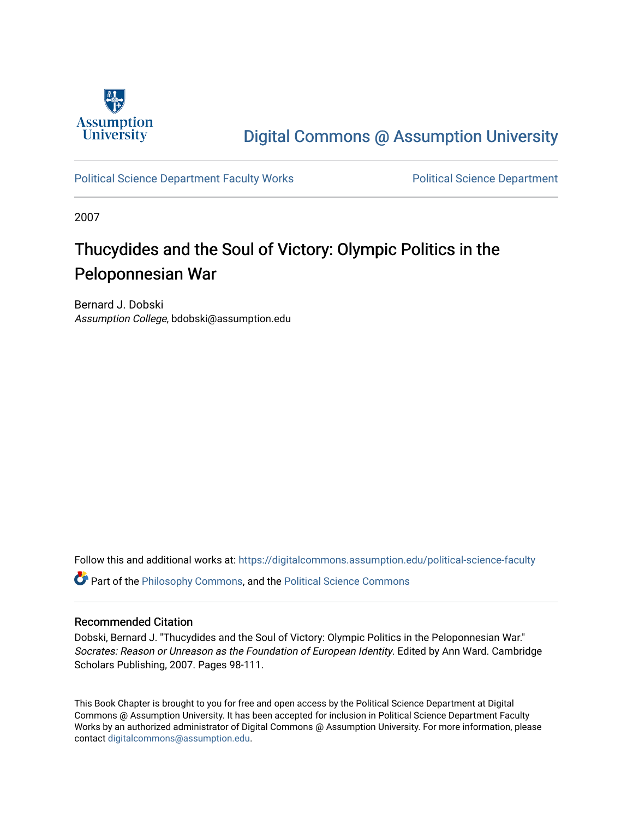

# [Digital Commons @ Assumption University](https://digitalcommons.assumption.edu/)

## [Political Science Department Faculty Works](https://digitalcommons.assumption.edu/political-science-faculty) [Political Science Department](https://digitalcommons.assumption.edu/political-science)

2007

# Thucydides and the Soul of Victory: Olympic Politics in the Peloponnesian War

Bernard J. Dobski Assumption College, bdobski@assumption.edu

Follow this and additional works at: [https://digitalcommons.assumption.edu/political-science-faculty](https://digitalcommons.assumption.edu/political-science-faculty?utm_source=digitalcommons.assumption.edu%2Fpolitical-science-faculty%2F67&utm_medium=PDF&utm_campaign=PDFCoverPages)

Part of the [Philosophy Commons,](http://network.bepress.com/hgg/discipline/525?utm_source=digitalcommons.assumption.edu%2Fpolitical-science-faculty%2F67&utm_medium=PDF&utm_campaign=PDFCoverPages) and the [Political Science Commons](http://network.bepress.com/hgg/discipline/386?utm_source=digitalcommons.assumption.edu%2Fpolitical-science-faculty%2F67&utm_medium=PDF&utm_campaign=PDFCoverPages) 

## Recommended Citation

Dobski, Bernard J. "Thucydides and the Soul of Victory: Olympic Politics in the Peloponnesian War." Socrates: Reason or Unreason as the Foundation of European Identity. Edited by Ann Ward. Cambridge Scholars Publishing, 2007. Pages 98-111.

This Book Chapter is brought to you for free and open access by the Political Science Department at Digital Commons @ Assumption University. It has been accepted for inclusion in Political Science Department Faculty Works by an authorized administrator of Digital Commons @ Assumption University. For more information, please contact [digitalcommons@assumption.edu.](mailto:digitalcommons@assumption.edu)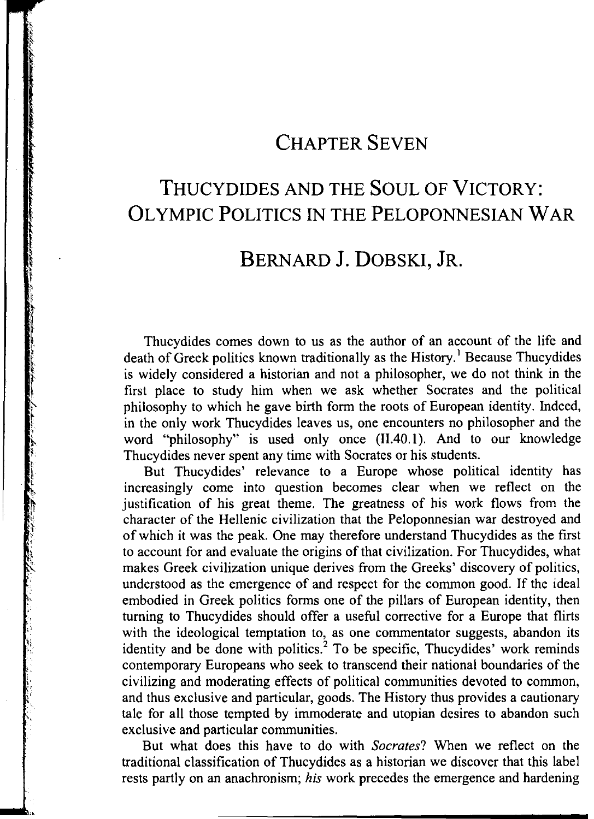# CHAPTER SEVEN

# THUCYDIDES AND THE SOUL OF VICTORY: OLYMPIC POLITICS IN THE PELOPONNESIAN WAR

## BERNARD J. DOBSKI, JR.

Thucydides comes down to us as the author of an account of the life and death of Greek politics known traditionally as the History.<sup>1</sup> Because Thucydides is widely considered a historian and not a philosopher, we do not think in the first place to study him when we ask whether Socrates and the political philosophy to which he gave birth form the roots of European identity. Indeed, in the only work Thucydides leaves us, one encounters no philosopher and the word "philosophy" is used only once (II.40.1). And to our knowledge Thucydides never spent any time with Socrates or his students.

l. t L.  $\mathfrak{g}$ 

l'

But Thucydides' relevance to a Europe whose political identity has increasingly come into question becomes clear when we reflect on the justification of his great theme. The greatness of his work flows from the character of the Hellenic civilization that the Peloponnesian war destroyed and of which it was the peak. One may therefore understand Thucydides as the first to account for and evaluate the origins of that civilization. For Thucydides, what makes Greek civilization unique derives from the Greeks' discovery of politics, understood as the emergence of and respect for the common good. If the ideal embodied in Greek politics forms one of the pillars of European identity, then turning to Thucydides should offer a useful corrective for a Europe that flirts with the ideological temptation to, as one commentator suggests, abandon its identity and be done with politics.<sup>2</sup> To be specific, Thucydides' work reminds contemporary Europeans who seek to transcend their national boundaries of the civilizing and moderating effects of political communities devoted to common, and thus exclusive and particular, goods. The History thus provides a cautionary tale for all those tempted by immoderate and utopian desires to abandon such exclusive and particular communities.

But what does this have to do with *Socrates?* When we reflect on the traditional classification of Thucydides as a historian we discover that this label rests partly on an anachronism; *his* work precedes the emergence and hardening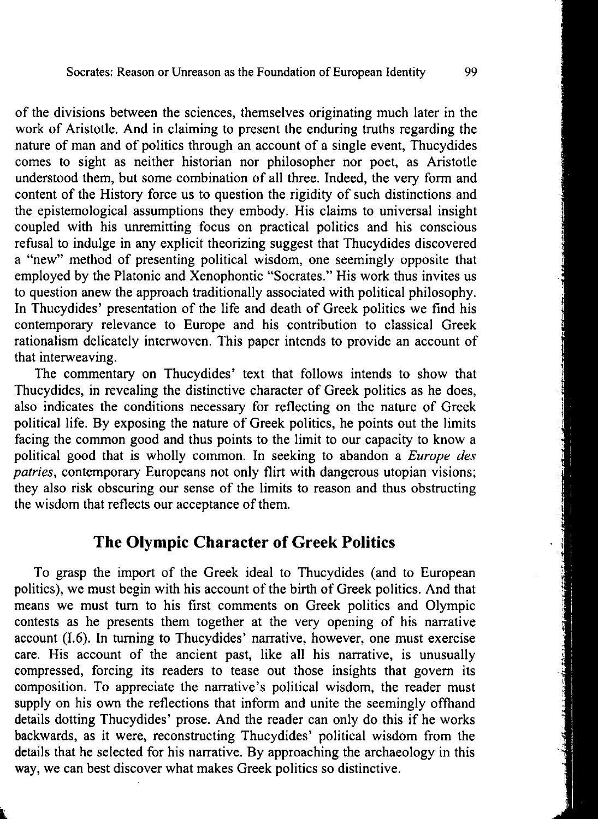of the divisions between the sciences, themselves originating much later in the work of Aristotle. And in claiming to present the enduring truths regarding the nature of man and of politics through an account of a single event, Thucydides comes to sight as neither historian nor philosopher nor poet, as Aristotle understood them, but some combination of all three. Indeed, the very form and content of the History force us to question the rigidity of such distinctions and the epistemological assumptions they embody. His claims to universal insight coupled with his unremitting focus on practical politics and his conscious refusal to indulge in any explicit theorizing suggest that Thucydides discovered a "new" method of presenting political wisdom, one seemingly opposite that employed by the Platonic and Xenophontic "Socrates." His work thus invites us to question anew the approach traditionally associated with political philosophy. In Thucydides' presentation of the life and death of Greek politics we find his contemporary relevance to Europe and his contribution to classical Greek rationalism delicately interwoven. This paper intends to provide an account of that interweaving.

The commentary on Thucydides' text that follows intends to show that Thucydides, in revealing the distinctive character of Greek politics as he does, also indicates the conditions necessary for reflecting on the nature of Greek political life. By exposing the nature of Greek politics, he points out the limits facing the common good and thus points to the limit to our capacity to know a political good that is wholly common. In seeking to abandon a *Europe des patries,* contemporary Europeans not only flirt with dangerous utopian visions; they also risk obscuring our sense of the limits to reason and thus obstructing the wisdom that reflects our acceptance of them.

#### **The Olympic Character of Greek Politics**

To grasp the import of the Greek ideal to Thucydides (and to European politics), we must begin with his account of the birth of Greek politics. And that means we must turn to his first comments on Greek politics and Olympic contests as he presents them together at the very opening of his narrative account (1.6). In turning to Thucydides' narrative, however, one must exercise care. His account of the ancient past, like all his narrative, is unusually compressed, forcing its readers to tease out those insights that govern its composition. To appreciate the narrative's political wisdom, the reader must supply on his own the reflections that inform and unite the seemingly offhand details dotting Thucydides' prose. And the reader can only do this if he works backwards, as it were, reconstructing Thucydides' political wisdom from the details that he selected for his narrative. By approaching the archaeology in this way, we can best discover what makes Greek politics so distinctive.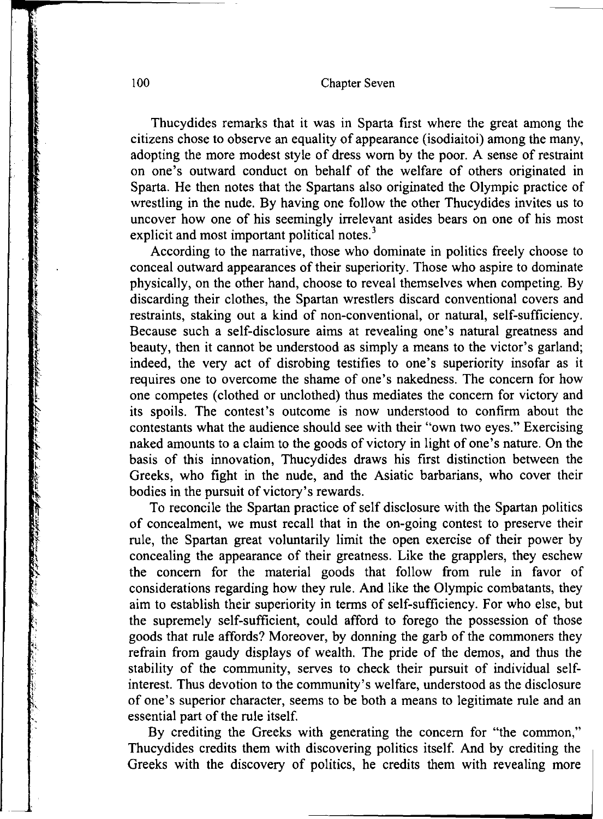Thucydides remarks that it was in Sparta first where the great among the citizens chose to observe an equality of appearance (isodiaitoi) among the many, adopting the more modest style of dress worn by the poor. A sense of restraint on one's outward conduct on behalf of the welfare of others originated in Sparta. He then notes that the Spartans also originated the Olympic practice of wrestling in the nude. By having one follow the other Thucydides invites us to uncover how one of his seemingly irrelevant asides bears on one of his most explicit and most important political notes.<sup>3</sup>

According to the narrative, those who dominate in politics freely choose to conceal outward appearances of their superiority. Those who aspire to dominate physically, on the other hand, choose to reveal themselves when competing. By discarding their clothes, the Spartan wrestlers discard conventional covers and restraints, staking out a kind of non-conventional, or natural, self-sufficiency. Because such a self-disclosure aims at revealing one's natural greatness and beauty, then it cannot be understood as simply a means to the victor's garland; indeed, the very act of disrobing testifies to one's superiority insofar as it requires one to overcome the shame of one's nakedness. The concern for how one competes (clothed or unclothed) thus mediates the concern for victory and its spoils. The contest's outcome is now understood to confirm about the contestants what the audience should see with their "own two eyes." Exercising naked amounts to a claim to the goods of victory in light of one's nature. On the basis of this innovation, Thucydides draws his first distinction between the Greeks, who fight in the nude, and the Asiatic barbarians, who cover their bodies in the pursuit of victory's rewards.

To reconcile the Spartan practice of self disclosure with the Spartan politics of concealment, we must recall that in the on-going contest to preserve their rule, the Spartan great voluntarily limit the open exercise of their power by concealing the appearance of their greatness. Like the grapplers, they eschew the concern for the material goods that follow from rule in favor of considerations regarding how they rule. And like the Olympic combatants, they aim to establish their superiority in terms of self-sufficiency. For who else, but the supremely self-sufficient, could afford to forego the possession of those goods that rule affords? Moreover, by donning the garb of the commoners they refrain from gaudy displays of wealth. The pride of the demos, and thus the stability of the community, serves to check their pursuit of individual selfinterest. Thus devotion to the community's welfare, understood as the disclosure of one's superior character, seems to be both a means to legitimate rule and an essential part of the rule itself.

By crediting the Greeks with generating the concern for "the common," Thucydides credits them with discovering politics itself. And by crediting the Greeks with the discovery of politics, he credits them with revealing more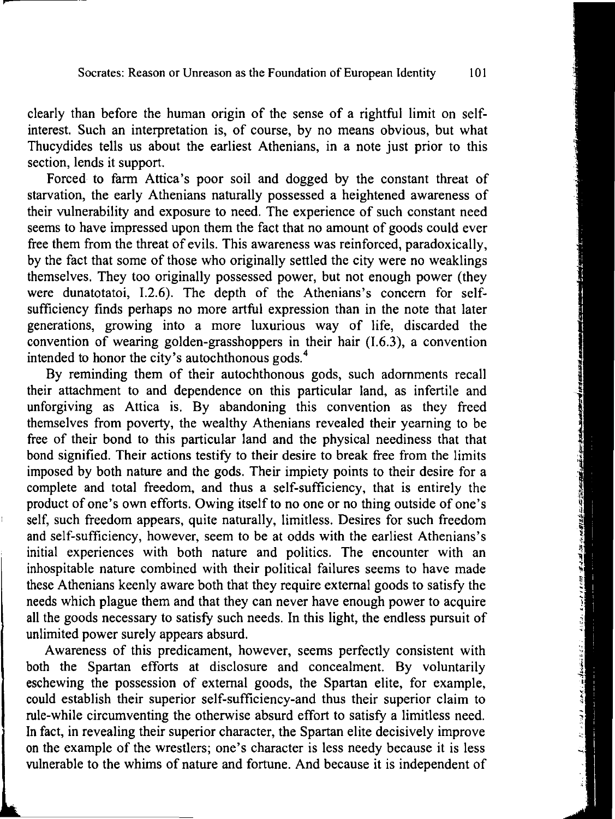clearly than before the human origin of the sense of a rightful limit on selfinterest. Such an interpretation is, of course, by no means obvious, but what Thucydides tells us about the earliest Athenians, in a note just prior to this section, lends it support.

Forced to farm Attica's poor soil and dogged by the constant threat of starvation, the early Athenians naturally possessed a heightened awareness of their vulnerability and exposure to need. The experience of such constant need seems to have impressed upon them the fact that no amount of goods could ever free them from the threat of evils. This awareness was reinforced, paradoxically, by the fact that some of those who originally settled the city were no weaklings themselves. They too originally possessed power, but not enough power (they were dunatotatoi, I.2.6). The depth of the Athenians's concern for selfsufficiency finds perhaps no more artful expression than in the note that later generations, growing into a more luxurious way of life, discarded the convention of wearing golden-grasshoppers in their hair (I.6.3), a convention intended to honor the city's autochthonous gods. <sup>4</sup>

By reminding them of their autochthonous gods, such adornments recall their attachment to and dependence on this particular land, as infertile and unforgiving as Attica is. By abandoning this convention as they freed themselves from poverty, the wealthy Athenians revealed their yearning to be free of their bond to this particular land and the physical neediness that that bond signified. Their actions testify to their desire to break free from the limits imposed by both nature and the gods. Their impiety points to their desire for a complete and total freedom, and thus a self-sufficiency, that is entirely the product of one's own efforts. Owing itself to no one or no thing outside of one's self, such freedom appears, quite naturally, limitless. Desires for such freedom and self-sufficiency, however, seem to be at odds with the earliest Athenians's initial experiences with both nature and politics. The encounter with an inhospitable nature combined with their political failures seems to have made these Athenians keenly aware both that they require external goods to satisfy the needs which plague them and that they can never have enough power to acquire all the goods necessary to satisfy such needs. In this light, the endless pursuit of unlimited power surely appears absurd.

Awareness of this predicament, however, seems perfectly consistent with both the Spartan efforts at disclosure and concealment. By voluntarily eschewing the possession of external goods, the Spartan elite, for example, could establish their superior self-sufficiency-and thus their superior claim to rule-while circumventing the otherwise absurd effort to satisfy a limitless need. In fact, in revealing their superior character, the Spartan elite decisively improve on the example of the wrestlers; one's character is less needy because it is less vulnerable to the whims of nature and fortune. And because it is independent of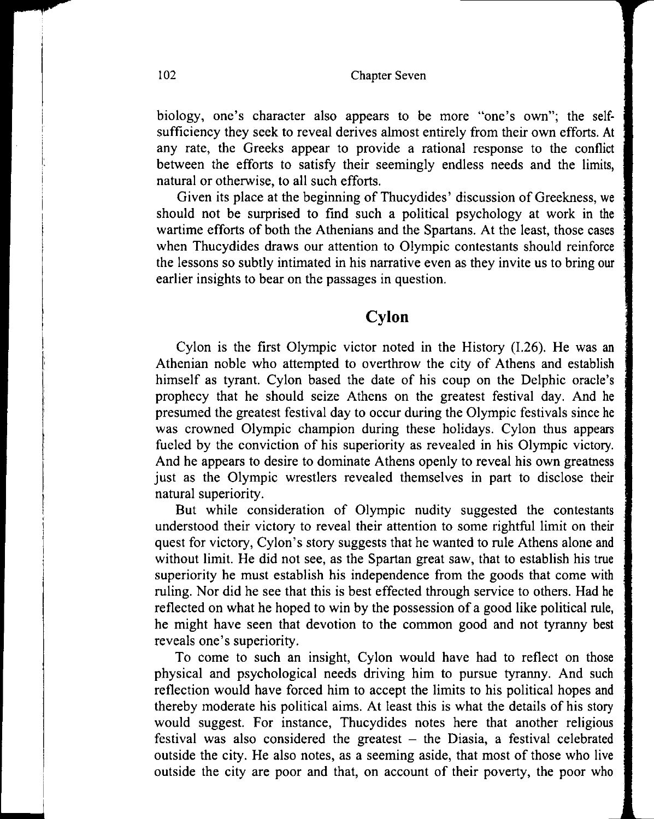biology, one's character also appears to be more "one's own"; the selfsufficiency they seek to reveal derives almost entirely from their own efforts. At any rate, the Greeks appear to provide a rational response to the conflict between the efforts to satisfy their seemingly endless needs and the limits, natural or otherwise, to all such efforts.

Given its place at the beginning of Thucydides' discussion of Greekness, we should not be surprised to find such a political psychology at work in the wartime efforts of both the Athenians and the Spartans. At the least, those cases when Thucydides draws our attention to Olympic contestants should reinforce the lessons so subtly intimated in his narrative even as they invite us to bring our earlier insights to bear on the passages in question.

### **Cylon**

Cylon is the first Olympic victor noted in the History (l.26). He was an Athenian noble who attempted to overthrow the city of Athens and establish himself as tyrant. Cylon based the date of his coup on the Delphic oracle's prophecy that he should seize Athens on the greatest festival day. And he presumed the greatest festival day to occur during the Olympic festivals since he was crowned Olympic champion during these holidays. Cylon thus appears fueled by the conviction of his superiority as revealed in his Olympic victory. And he appears to desire to dominate Athens openly to reveal his own greatness just as the Olympic wrestlers revealed themselves in part to disclose their natural superiority.

But while consideration of Olympic nudity suggested the contestants understood their victory to reveal their attention to some rightful limit on their quest for victory, Cylon's story suggests that he wanted to rule Athens alone and without limit. He did not see, as the Spartan great saw, that to establish his true superiority he must establish his independence from the goods that come with ruling. Nor did he see that this is best effected through service to others. Had he reflected on what he hoped to win by the possession of a good like political rule, he might have seen that devotion to the common good and not tyranny best reveals one's superiority.

To come to such an insight, Cylon would have had to reflect on those physical and psychological needs driving him to pursue tyranny. And such reflection would have forced him to accept the limits to his political hopes and thereby moderate his political aims. At least this is what the details of his story would suggest. For instance, Thucydides notes here that another religious festival was also considered the greatest  $-$  the Diasia, a festival celebrated outside the city. He also notes, as a seeming aside, that most of those who live outside the city are poor and that, on account of their poverty, the poor who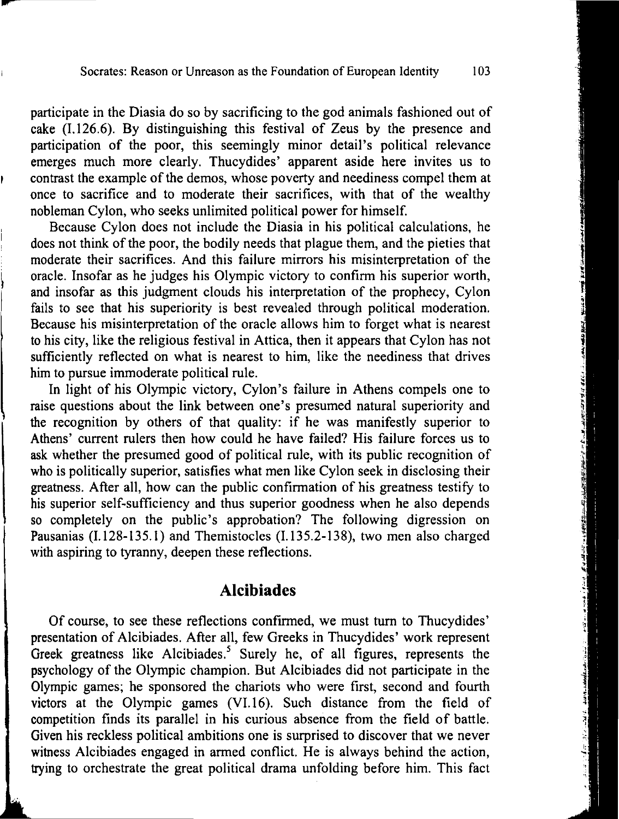participate in the Diasia do so by sacrificing to the god animals fashioned out of cake (I.126.6). By distinguishing this festival of Zeus by the presence and participation of the poor, this seemingly minor detail's political relevance emerges much more clearly. Thucydides' apparent aside here invites us to contrast the example of the demos, whose poverty and neediness compel them at once to sacrifice and to moderate their sacrifices, with that of the wealthy nobleman Cylon, who seeks unlimited political power for himself.

-

Because Cylon does not include the Diasia in his political calculations, he does not think of the poor, the bodily needs that plague them, and the pieties that moderate their sacrifices. And this failure mirrors his misinterpretation of the oracle. Insofar as he judges his Olympic victory to confirm his superior worth, and insofar as this judgment clouds his interpretation of the prophecy, Cylon fails to see that his superiority is best revealed through political moderation. Because his misinterpretation of the oracle allows him to forget what is nearest to his city, like the religious festival in Attica, then it appears that Cylon has not sufficiently reflected on what is nearest to him, like the neediness that drives him to pursue immoderate political rule.

In light of his Olympic victory, Cylon's failure in Athens compels one to raise questions about the link between one's presumed natural superiority and the recognition by others of that quality: if he was manifestly superior to Athens' current rulers then how could he have failed? His failure forces us to ask whether the presumed good of political rule, with its public recognition of who is politically superior, satisfies what men like Cylon seek in disclosing their greatness. After all, how can the public confirmation of his greatness testify to his superior self-sufficiency and thus superior goodness when he also depends so completely on the public's approbation? The following digression on Pausanias (I.128-135. l) and Themistocles (I.135.2-138), two men also charged with aspiring to tyranny, deepen these reflections.

#### **Alcibiades**

Of course, to see these reflections confirmed, we must tum to Thucydides' presentation of Alcibiades. After all, few Greeks in Thucydides' work represent Greek greatness like Alcibiades.<sup>5</sup> Surely he, of all figures, represents the psychology of the Olympic champion. But Alcibiades did not participate in the Olympic games; he sponsored the chariots who were first, second and fourth victors at the Olympic games (VI.16). Such distance from the field of competition finds its parallel in his curious absence from the field of battle. Given his reckless political ambitions one is surprised to discover that we never witness Alcibiades engaged in armed conflict. He is always behind the action, trying to orchestrate the great political drama unfolding before him. This fact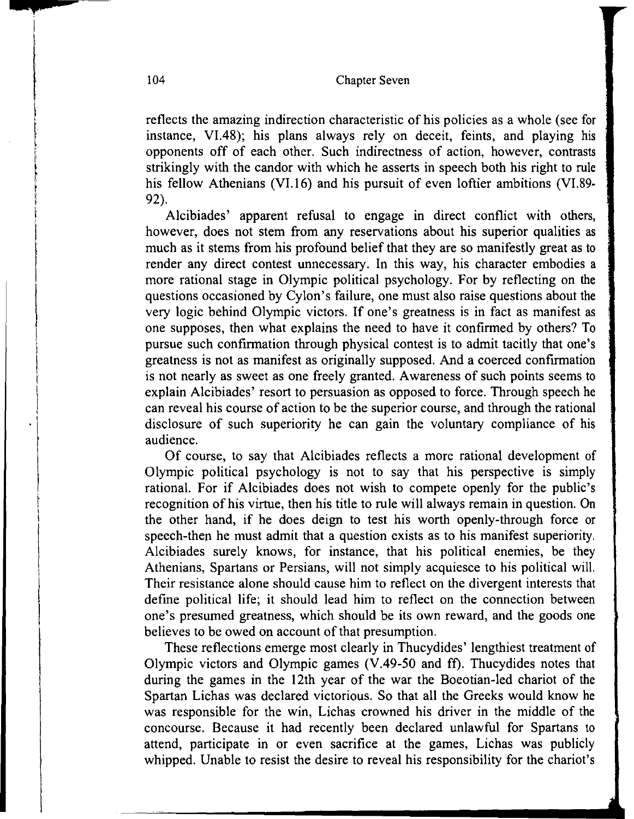reflects the amazing indirection characteristic of his policies as a whole (see for instance, Vl.48); his plans always rely on deceit, feints, and playing his opponents off of each other. Such indirectness of action, however, contrasts strikingly with the candor with which he asserts in speech both his right to rule his fellow Athenians (VI.16) and his pursuit of even loftier ambitions (VI.89-92).

Alcibiades' apparent refusal to engage in direct conflict with others, however, does not stem from any reservations about his superior qualities as much as it stems from his profound belief that they are so manifestly great as to render any direct contest unnecessary. In this way, his character embodies a more rational stage in Olympic political psychology. For by reflecting on the questions occasioned by Cylon's failure, one must also raise questions about the very logic behind Olympic victors. If one's greatness is in fact as manifest as one supposes, then what explains the need to have it confirmed by others? To pursue such confirmation through physical contest is to admit tacitly that one's greatness is not as manifest as originally supposed. And a coerced confirmation is not nearly as sweet as one freely granted. Awareness of such points seems to explain Alcibiades' resort to persuasion as opposed to force. Through speech he can reveal his course of action to be the superior course, and through the rational disclosure of such superiority he can gain the voluntary compliance of his audience.

Of course, to say that Alcibiades reflects a more rational development of Olympic political psychology is not to say that his perspective is simply rational. For if Alcibiades does not wish to compete openly for the public's recognition of his virtue, then his title to rule will always remain in question. On the other hand, if he does deign to test his worth openly-through force or speech-then he must admit that a question exists as to his manifest superiority. Alcibiades surely knows, for instance, that his political enemies, be they Athenians, Spartans or Persians, will not simply acquiesce to his political will. Their resistance alone should cause him to reflect on the divergent interests that define political life; it should lead him to reflect on the connection between one's presumed greatness, which should be its own reward, and the goods one believes to be owed on account of that presumption.

These reflections emerge most clearly in Thucydides' lengthiest treatment of Olympic victors and Olympic games (V.49-50 and ff). Thucydides notes that during the games in the 12th year of the war the Boeotian-led chariot of the Spartan Lichas was declared victorious. So that all the Greeks would know he was responsible for the win, Lichas crowned his driver in the middle of the concourse. Because it had recently been declared unlawful for Spartans to attend, participate in or even sacrifice at the games, Lichas was publicly whipped. Unable to resist the desire to reveal his responsibility for the chariot's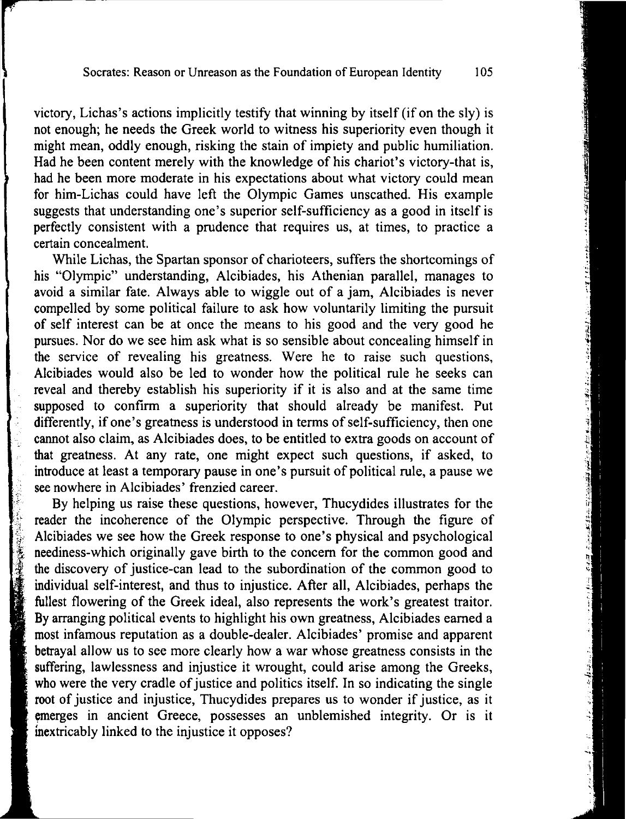victory, Lichas's actions implicitly testify that winning by itself (if on the sly) is not enough; he needs the Greek world to witness his superiority even though it might mean, oddly enough, risking the stain of impiety and public humiliation. Had he been content merely with the knowledge of his chariot's victory-that is, had he been more moderate in his expectations about what victory could mean for him-Lichas could have left the Olympic Games unscathed. His example suggests that understanding one's superior self-sufficiency as a good in itself is perfectly consistent with a prudence that requires us, at times, to practice a certain concealment.

While Lichas, the Spartan sponsor of charioteers, suffers the shortcomings of his "Olympic" understanding, Alcibiades, his Athenian parallel, manages to avoid a similar fate. Always able to wiggle out of a jam, Alcibiades is never compelled by some political failure to ask how voluntarily limiting the pursuit of self interest can be at once the means to his good and the very good he pursues. Nor do we see him ask what is so sensible about concealing himself in the service of revealing his greatness. Were he to raise such questions, Alcibiades would also be led to wonder how the political rule he seeks can reveal and thereby establish his superiority if it is also and at the same time supposed to confirm a superiority that should already be manifest. Put differently, if one's greatness is understood in terms of self-sufficiency, then one cannot also claim, as Alcibiades does, to be entitled to extra goods on account of that greatness. At any rate, one might expect such questions, if asked, to introduce at least a temporary pause in one's pursuit of political rule, a pause we see nowhere in Alcibiades' frenzied career.

By helping us raise these questions, however, Thucydides illustrates for the reader the incoherence of the Olympic perspective. Through the figure of Alcibiades we see how the Greek response to one's physical and psychological neediness-which originally gave birth to the concern for the common good and Fracture the incoherence of the Olympic perspective. Through the figure of<br>Alcibiades we see how the Greek response to one's physical and psychological<br>neediness-which originally gave birth to the concern for the common go individual self-interest, and thus to injustice. After all, Alcibiades, perhaps the fullest flowering of the Greek ideal, also represents the work's greatest traitor. By arranging political events to highlight his own greatness, Alcibiades earned a most infamous reputation as a double-dealer. Alcibiades' promise and apparent betrayal allow us to see more clearly how a war whose greatness consists in the suffering, lawlessness and injustice it wrought, could arise among the Greeks, who were the very cradle of justice and politics itself. In so indicating the single root of justice and injustice, Thucydides prepares us to wonder if justice, as it emerges in ancient Greece, possesses an unblemished integrity. Or is it inextricably linked to the injustice it opposes?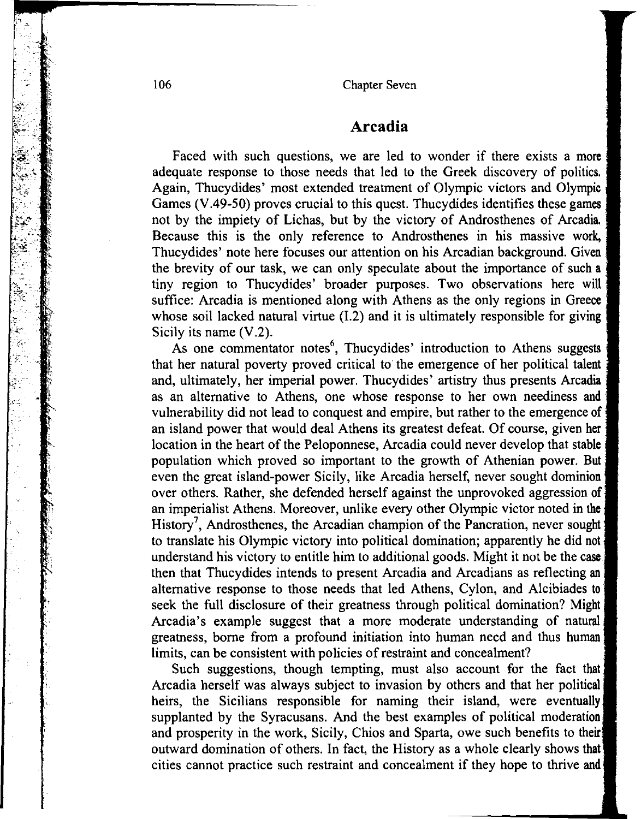#### **Arcadia**

Faced with such questions, we are led to wonder if there exists a more adequate response to those needs that led to the Greek discovery of politics. Again, Thucydides' most extended treatment of Olympic victors and Olympic Games (V.49-50) proves crucial to this quest. Thucydides identifies these games not by the impiety of Lichas, but by the victory of Androsthenes of Arcadia. Because this is the only reference to Androsthenes in his massive work, Thucydides' note here focuses our attention on his Arcadian background. Given the brevity of our task, we can only speculate about the importance of such a tiny region to Thucydides' broader purposes. Two observations here will suffice: Arcadia is mentioned along with Athens as the only regions in Greece whose soil lacked natural virtue (I.2) and it is ultimately responsible for giving Sicily its name (V.2).

As one commentator notes<sup>6</sup>, Thucydides' introduction to Athens suggests that her natural poverty proved critical to the emergence of her political talent and, ultimately, her imperial power. Thucydides' artistry thus presents Arcadia as an alternative to Athens, one whose response to her own neediness and vulnerability did not lead to conquest and empire, but rather to the emergence of an island power that would deal Athens its greatest defeat. Of course, given her location in the heart of the Peloponnese, Arcadia could never develop that stable population which proved so important to the growth of Athenian power. But even the great island-power Sicily, like Arcadia herself, never sought dominion over others. Rather, she defended herself against the unprovoked aggression of an imperialist Athens. Moreover, unlike every other Olympic victor noted in the History<sup>7</sup>, Androsthenes, the Arcadian champion of the Pancration, never sought to translate his Olympic victory into political domination; apparently he did not understand his victory to entitle him to additional goods. Might it not be the case then that Thucydides intends to present Arcadia and Arcadians as reflecting an alternative response to those needs that led Athens, Cylon, and Alcibiades to seek the full disclosure of their greatness through political domination? Might Arcadia's example suggest that a more moderate understanding of natural greatness, borne from a profound initiation into human need and thus human limits, can be consistent with policies of restraint and concealment?

Such suggestions, though tempting, must also account for the fact that Arcadia herself was always subject to invasion by others and that her political heirs, the Sicilians responsible for naming their island, were eventually supplanted by the Syracusans. And the best examples of political moderation and prosperity in the work, Sicily, Chios and Sparta, owe such benefits to their outward domination of others. In fact, the History as a whole clearly shows that cities cannot practice such restraint and concealment if they hope to thrive and

""" ·~z~-.·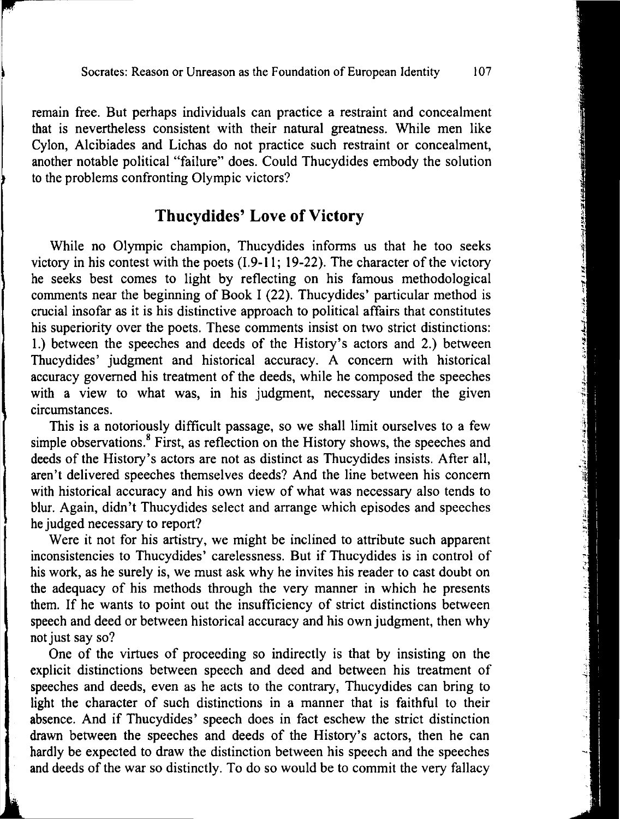remain free. But perhaps individuals can practice a restraint and concealment that is nevertheless consistent with their natural greatness. While men like Cylon, Alcibiades and Lichas do not practice such restraint or concealment, another notable political "failure" does. Could Thucydides embody the solution to the problems confronting Olympic victors?

### **Thucydides' Love of Victory**

While no Olympic champion, Thucydides informs us that he too seeks victory in his contest with the poets  $(1.9-11; 19-22)$ . The character of the victory he seeks best comes to light by reflecting on his famous methodological comments near the beginning of Book I (22). Thucydides' particular method is crucial insofar as it is his distinctive approach to political affairs that constitutes his superiority over the poets. These comments insist on two strict distinctions: 1.) between the speeches and deeds of the History's actors and 2.) between Thucydides' judgment and historical accuracy. A concern with historical accuracy governed his treatment of the deeds, while he composed the speeches with a view to what was, in his judgment, necessary under the given circumstances.

This is a notoriously difficult passage, so we shall limit ourselves to a few simple observations.<sup>8</sup> First, as reflection on the History shows, the speeches and deeds of the History's actors are not as distinct as Thucydides insists. After all, aren't delivered speeches themselves deeds? And the line between his concern with historical accuracy and his own view of what was necessary also tends to blur. Again, didn't Thucydides select and arrange which episodes and speeches he judged necessary to report?

Were it not for his artistry, we might be inclined to attribute such apparent inconsistencies to Thucydides' carelessness. But if Thucydides is in control of his work, as he surely is, we must ask why he invites his reader to cast doubt on the adequacy of his methods through the very manner in which he presents them. If he wants to point out the insufficiency of strict distinctions between speech and deed or between historical accuracy and his own judgment, then why not just say so?

One of the virtues of proceeding so indirectly is that by insisting on the explicit distinctions between speech and deed and between his treatment of speeches and deeds, even as he acts to the contrary, Thucydides can bring to light the character of such distinctions in a manner that is faithful to their absence. And if Thucydides' speech does in fact eschew the strict distinction drawn between the speeches and deeds of the History's actors, then he can hardly be expected to draw the distinction between his speech and the speeches and deeds of the war so distinctly. To do so would be to commit the very fallacy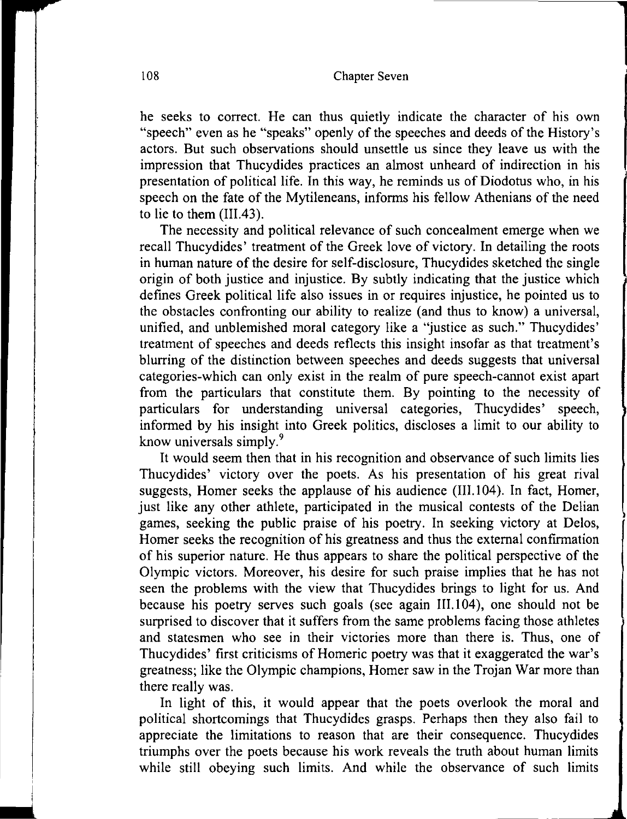l

'

he seeks to correct. He can thus quietly indicate the character of his own "speech" even as he "speaks" openly of the speeches and deeds of the History's actors. But such observations should unsettle us since they leave us with the impression that Thucydides practices an almost unheard of indirection in his presentation of political life. In this way, he reminds us of Diodotus who, in his speech on the fate of the Mytileneans, informs his fellow Athenians of the need to lie to them (III.43).

The necessity and political relevance of such concealment emerge when we recall Thucydides' treatment of the Greek love of victory. In detailing the roots in human nature of the desire for self-disclosure, Thucydides sketched the single origin of both justice and injustice. By subtly indicating that the justice which defines Greek political life also issues in or requires injustice, he pointed us to the obstacles confronting our ability to realize (and thus to know) a universal, unified, and unblemished moral category like a "justice as such." Thucydides' treatment of speeches and deeds reflects this insight insofar as that treatment's blurring of the distinction between speeches and deeds suggests that universal categories-which can only exist in the realm of pure speech-cannot exist apart from the particulars that constitute them. By pointing to the necessity of particulars for understanding universal categories, Thucydides' speech, informed by his insight into Greek politics, discloses a limit to our ability to know universals simply. <sup>9</sup>

It would seem then that in his recognition and observance of such limits lies Thucydides' victory over the poets. As his presentation of his great rival suggests, Homer seeks the applause of his audience (III.104). In fact, Homer, just like any other athlete, participated in the musical contests of the Delian games, seeking the public praise of his poetry. In seeking victory at Delos, Homer seeks the recognition of his greatness and thus the external confirmation of his superior nature. He thus appears to share the political perspective of the Olympic victors. Moreover, his desire for such praise implies that he has not seen the problems with the view that Thucydides brings to light for us. And because his poetry serves such goals (see again III.104), one should not be surprised to discover that it suffers from the same problems facing those athletes and statesmen who see in their victories more than there is. Thus, one of Thucydides' first criticisms of Homeric poetry was that it exaggerated the war's greatness; like the Olympic champions, Homer saw in the Trojan War more than there really was.

In light of this, it would appear that the poets overlook the moral and political shortcomings that Thucydides grasps. Perhaps then they also fail to appreciate the limitations to reason that are their consequence. Thucydides triumphs over the poets because his work reveals the truth about human limits while still obeying such limits. And while the observance of such limits

' .J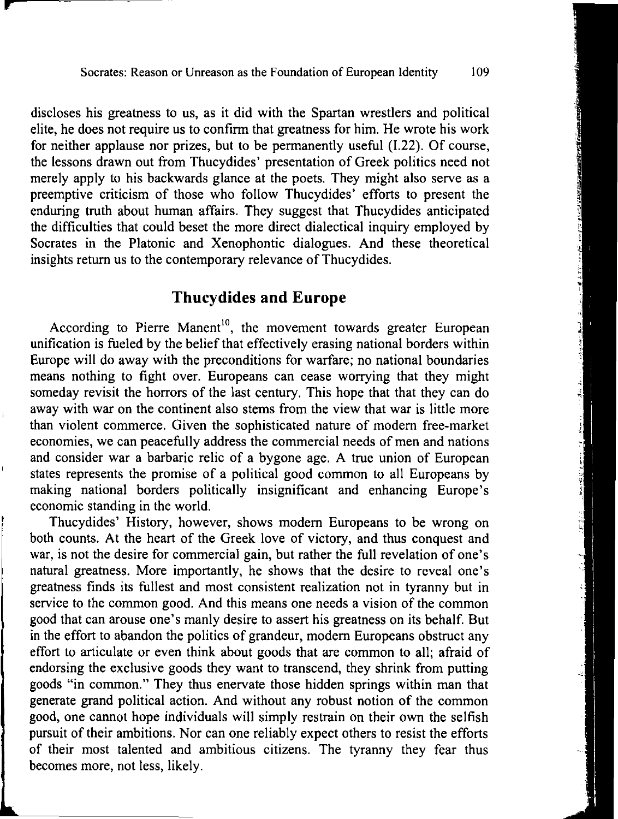discloses his greatness to us, as it did with the Spartan wrestlers and political elite, he does not require us to confirm that greatness for him. He wrote his work for neither applause nor prizes, but to be permanently useful (1.22). Of course, the lessons drawn out from Thucydides' presentation of Greek politics need not merely apply to his backwards glance at the poets. They might also serve as a preemptive criticism of those who follow Thucydides' efforts to present the enduring truth about human affairs. They suggest that Thucydides anticipated the difficulties that could beset the more direct dialectical inquiry employed by Socrates in the Platonic and Xenophontic dialogues. And these theoretical insights return us to the contemporary relevance of Thucydides.

### **Thucydides and Europe**

According to Pierre Manent<sup>10</sup>, the movement towards greater European unification is fueled by the belief that effectively erasing national borders within Europe will do away with the preconditions for warfare; no national boundaries means nothing to fight over. Europeans can cease worrying that they might someday revisit the horrors of the last century. This hope that that they can do away with war on the continent also stems from the view that war is little more than violent commerce. Given the sophisticated nature of modern free-market economies, we can peacefully address the commercial needs of men and nations and consider war a barbaric relic of a bygone age. A true union of European states represents the promise of a political good common to all Europeans by making national borders politically insignificant and enhancing Europe's economic standing in the world.

Thucydides' History, however, shows modern Europeans to be wrong on both counts. At the heart of the Greek love of victory, and thus conquest and war, is not the desire for commercial gain, but rather the full revelation of one's natural greatness. More importantly, he shows that the desire to reveal one's greatness finds its fullest and most consistent realization not in tyranny but in service to the common good. And this means one needs a vision of the common good that can arouse one's manly desire to assert his greatness on its behalf. But in the effort to abandon the politics of grandeur, modern Europeans obstruct any effort to articulate or even think about goods that are common to all; afraid of endorsing the exclusive goods they want to transcend, they shrink from putting goods "in common." They thus enervate those hidden springs within man that generate grand political action. And without any robust notion of the common good, one cannot hope individuals will simply restrain on their own the selfish pursuit of their ambitions. Nor can one reliably expect others to resist the efforts of their most talented and ambitious citizens. The tyranny they fear thus becomes more, not less, likely.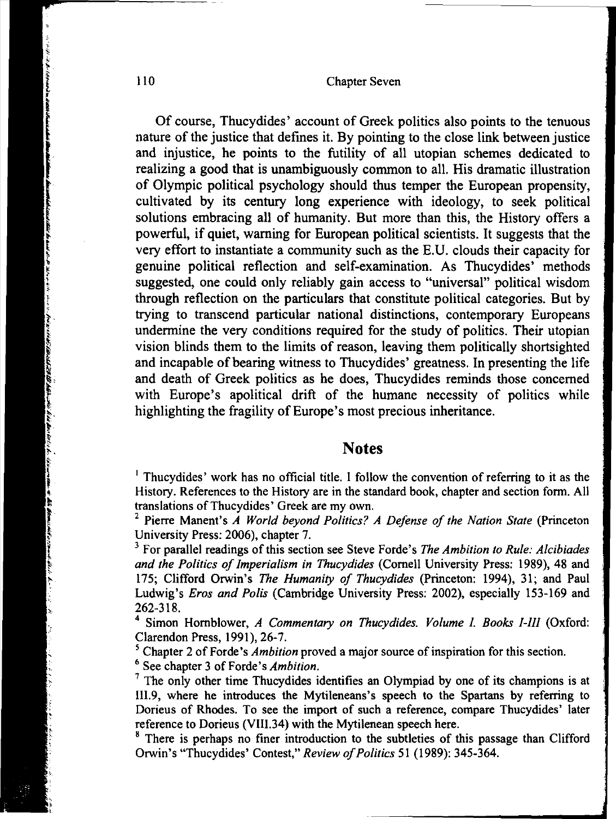Of course, Thucydides' account of Greek politics also points to the tenuous nature of the justice that defines it. By pointing to the close link between justice and injustice, he points to the futility of all utopian schemes dedicated to realizing a good that is unambiguously common to all. His dramatic illustration of Olympic political psychology should thus temper the European propensity, cultivated by its century long experience with ideology, to seek political solutions embracing all of humanity. But more than this, the History offers a powerful, if quiet, warning for European political scientists. It suggests that the very effort to instantiate a community such as the E.U. clouds their capacity for genuine political reflection and self-examination. As Thucydides' methods suggested, one could only reliably gain access to "universal" political wisdom through reflection on the particulars that constitute political categories. But by trying to transcend particular national distinctions, contemporary Europeans undermine the very conditions required for the study of politics. Their utopian vision blinds them to the limits of reason, leaving them politically shortsighted and incapable of bearing witness to Thucydides' greatness. In presenting the life and death of Greek politics as he does, Thucydides reminds those concerned with Europe's apolitical drift of the humane necessity of politics while highlighting the fragility of Europe's most precious inheritance.

#### **Notes**

<sup>1</sup> Thucydides' work has no official title. I follow the convention of referring to it as the History. References to the History are in the standard book, chapter and section form. All translations of Thucydides' Greek are my own.

<sup>2</sup> Pierre Manent's *A World beyond Politics? A Defense of the Nation State* (Princeton University Press: 2006). chapter 7.

<sup>3</sup> For parallel readings of this section see Steve Forde's *The Ambition to Rule: Alcibiades and the Politics of Imperialism in Thucydides* (Cornell University Press: 1989), 48 and 175; Clifford Orwin's *The Humanity of Thucydides* (Princeton: 1994), 31; and Paul Ludwig's *Eros and Polis* (Cambridge University Press: 2002), especially 153-169 and 262-318.

4 Simon Hornblower, *A Commentary on Thucydides. Volume* I. *Books I-III* (Oxford: Clarendon Press, 1991), 26-7.<br>
<sup>5</sup> Chapter 2 of Forde's *Ambition* proved a major source of inspiration for this section.<br>
<sup>6</sup> See chapter 3 of Forde's *Ambition*.<br>
<sup>7</sup> The only other time Thucydides identifies an Olympia

Ill.9, where he introduces the Mytileneans's speech to the Spartans by referring to Dorieus of Rhodes. To see the import of such a reference, compare Thucydides' later reference to Dorieus (VIII.34) with the Mytilenean speech here.<br><sup>8</sup> There is perhaps no finer introduction to the subtleties of this passage than Clifford

Orwin's "Thucydides' Contest," *Review of Politics* 51 (1989): 345-364.